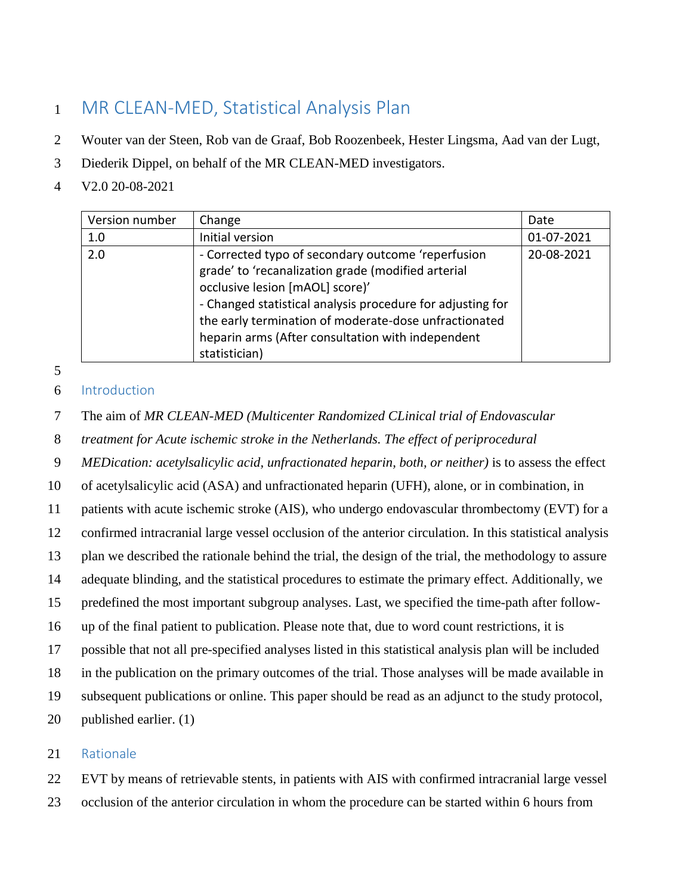# MR CLEAN-MED, Statistical Analysis Plan

- Wouter van der Steen, Rob van de Graaf, Bob Roozenbeek, Hester Lingsma, Aad van der Lugt,
- Diederik Dippel, on behalf of the MR CLEAN-MED investigators.
- V2.0 20-08-2021

| Version number | Change                                                                                                                                                                                                                                                                                                                                   | Date       |
|----------------|------------------------------------------------------------------------------------------------------------------------------------------------------------------------------------------------------------------------------------------------------------------------------------------------------------------------------------------|------------|
| 1.0            | Initial version                                                                                                                                                                                                                                                                                                                          | 01-07-2021 |
| 2.0            | - Corrected typo of secondary outcome 'reperfusion<br>grade' to 'recanalization grade (modified arterial<br>occlusive lesion [mAOL] score)'<br>- Changed statistical analysis procedure for adjusting for<br>the early termination of moderate-dose unfractionated<br>heparin arms (After consultation with independent<br>statistician) | 20-08-2021 |

Introduction

The aim of *MR CLEAN-MED (Multicenter Randomized CLinical trial of Endovascular* 

*treatment for Acute ischemic stroke in the Netherlands. The effect of periprocedural* 

*MEDication: acetylsalicylic acid, unfractionated heparin, both, or neither)* is to assess the effect

of acetylsalicylic acid (ASA) and unfractionated heparin (UFH), alone, or in combination, in

patients with acute ischemic stroke (AIS), who undergo endovascular thrombectomy (EVT) for a

confirmed intracranial large vessel occlusion of the anterior circulation. In this statistical analysis

plan we described the rationale behind the trial, the design of the trial, the methodology to assure

adequate blinding, and the statistical procedures to estimate the primary effect. Additionally, we

predefined the most important subgroup analyses. Last, we specified the time-path after follow-

up of the final patient to publication. Please note that, due to word count restrictions, it is

possible that not all pre-specified analyses listed in this statistical analysis plan will be included

in the publication on the primary outcomes of the trial. Those analyses will be made available in

subsequent publications or online. This paper should be read as an adjunct to the study protocol,

published earlier. (1)

# Rationale

EVT by means of retrievable stents, in patients with AIS with confirmed intracranial large vessel

occlusion of the anterior circulation in whom the procedure can be started within 6 hours from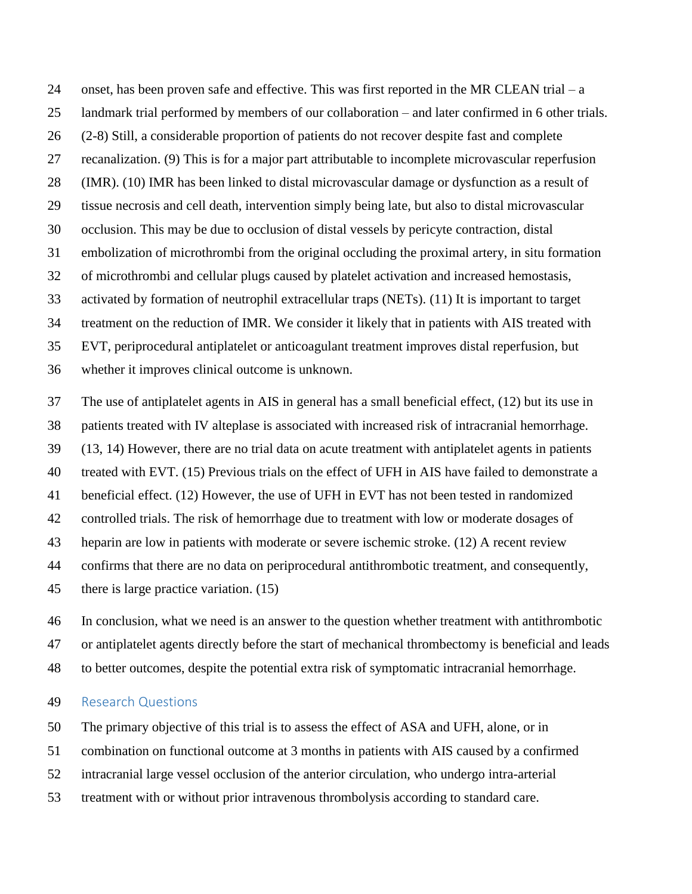24 onset, has been proven safe and effective. This was first reported in the MR CLEAN trial – a landmark trial performed by members of our collaboration – and later confirmed in 6 other trials. (2-8) Still, a considerable proportion of patients do not recover despite fast and complete recanalization. (9) This is for a major part attributable to incomplete microvascular reperfusion (IMR). (10) IMR has been linked to distal microvascular damage or dysfunction as a result of tissue necrosis and cell death, intervention simply being late, but also to distal microvascular occlusion. This may be due to occlusion of distal vessels by pericyte contraction, distal embolization of microthrombi from the original occluding the proximal artery, in situ formation of microthrombi and cellular plugs caused by platelet activation and increased hemostasis, activated by formation of neutrophil extracellular traps (NETs). (11) It is important to target treatment on the reduction of IMR. We consider it likely that in patients with AIS treated with EVT, periprocedural antiplatelet or anticoagulant treatment improves distal reperfusion, but whether it improves clinical outcome is unknown.

 The use of antiplatelet agents in AIS in general has a small beneficial effect, (12) but its use in patients treated with IV alteplase is associated with increased risk of intracranial hemorrhage. (13, 14) However, there are no trial data on acute treatment with antiplatelet agents in patients treated with EVT. (15) Previous trials on the effect of UFH in AIS have failed to demonstrate a beneficial effect. (12) However, the use of UFH in EVT has not been tested in randomized controlled trials. The risk of hemorrhage due to treatment with low or moderate dosages of heparin are low in patients with moderate or severe ischemic stroke. (12) A recent review confirms that there are no data on periprocedural antithrombotic treatment, and consequently, there is large practice variation. (15)

 In conclusion, what we need is an answer to the question whether treatment with antithrombotic or antiplatelet agents directly before the start of mechanical thrombectomy is beneficial and leads to better outcomes, despite the potential extra risk of symptomatic intracranial hemorrhage.

#### Research Questions

The primary objective of this trial is to assess the effect of ASA and UFH, alone, or in

combination on functional outcome at 3 months in patients with AIS caused by a confirmed

intracranial large vessel occlusion of the anterior circulation, who undergo intra-arterial

treatment with or without prior intravenous thrombolysis according to standard care.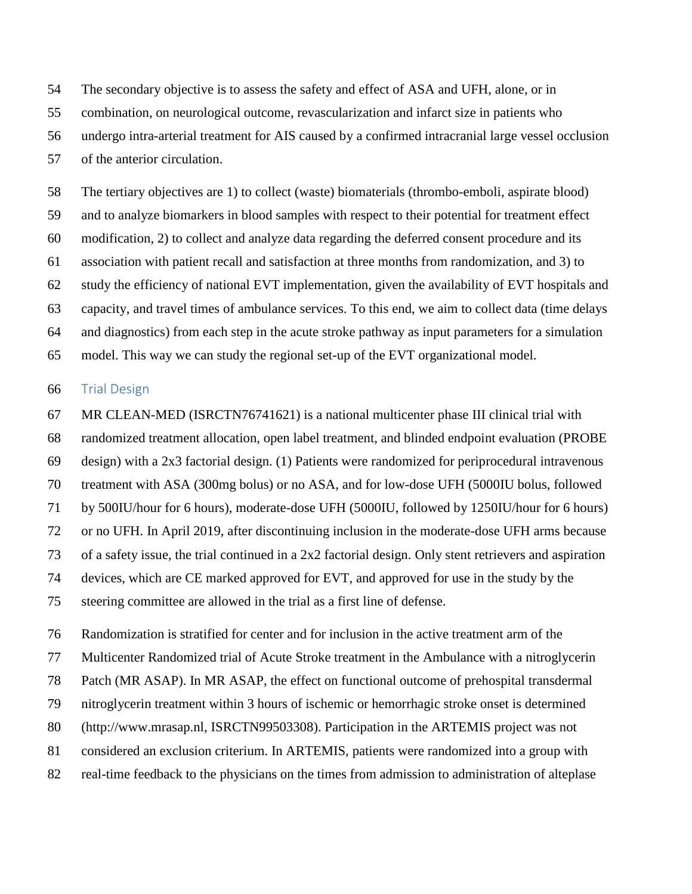The secondary objective is to assess the safety and effect of ASA and UFH, alone, or in

combination, on neurological outcome, revascularization and infarct size in patients who

undergo intra-arterial treatment for AIS caused by a confirmed intracranial large vessel occlusion

of the anterior circulation.

 The tertiary objectives are 1) to collect (waste) biomaterials (thrombo-emboli, aspirate blood) and to analyze biomarkers in blood samples with respect to their potential for treatment effect modification, 2) to collect and analyze data regarding the deferred consent procedure and its association with patient recall and satisfaction at three months from randomization, and 3) to study the efficiency of national EVT implementation, given the availability of EVT hospitals and capacity, and travel times of ambulance services. To this end, we aim to collect data (time delays and diagnostics) from each step in the acute stroke pathway as input parameters for a simulation model. This way we can study the regional set-up of the EVT organizational model.

#### Trial Design

 MR CLEAN-MED (ISRCTN76741621) is a national multicenter phase III clinical trial with randomized treatment allocation, open label treatment, and blinded endpoint evaluation (PROBE design) with a 2x3 factorial design. (1) Patients were randomized for periprocedural intravenous treatment with ASA (300mg bolus) or no ASA, and for low-dose UFH (5000IU bolus, followed by 500IU/hour for 6 hours), moderate-dose UFH (5000IU, followed by 1250IU/hour for 6 hours) or no UFH. In April 2019, after discontinuing inclusion in the moderate-dose UFH arms because of a safety issue, the trial continued in a 2x2 factorial design. Only stent retrievers and aspiration devices, which are CE marked approved for EVT, and approved for use in the study by the steering committee are allowed in the trial as a first line of defense.

 Randomization is stratified for center and for inclusion in the active treatment arm of the Multicenter Randomized trial of Acute Stroke treatment in the Ambulance with a nitroglycerin Patch (MR ASAP). In MR ASAP, the effect on functional outcome of prehospital transdermal nitroglycerin treatment within 3 hours of ischemic or hemorrhagic stroke onset is determined (http://www.mrasap.nl, ISRCTN99503308). Participation in the ARTEMIS project was not considered an exclusion criterium. In ARTEMIS, patients were randomized into a group with real-time feedback to the physicians on the times from admission to administration of alteplase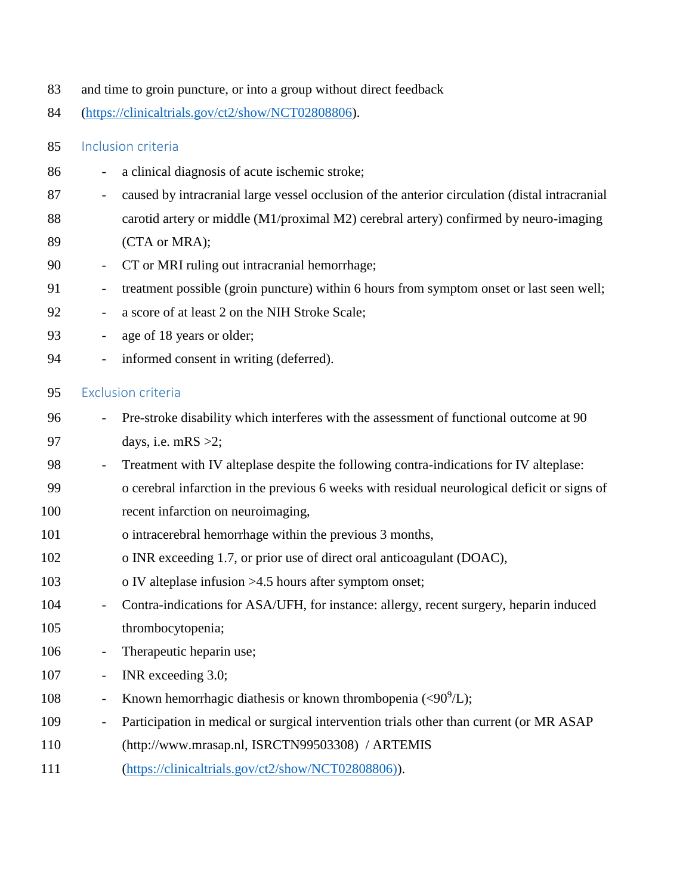- and time to groin puncture, or into a group without direct feedback
- [\(https://clinicaltrials.gov/ct2/show/NCT02808806\)](https://clinicaltrials.gov/ct2/show/NCT02808806).

### Inclusion criteria

- a clinical diagnosis of acute ischemic stroke;
- caused by intracranial large vessel occlusion of the anterior circulation (distal intracranial
- carotid artery or middle (M1/proximal M2) cerebral artery) confirmed by neuro-imaging
- (CTA or MRA);
- CT or MRI ruling out intracranial hemorrhage;
- treatment possible (groin puncture) within 6 hours from symptom onset or last seen well;
- a score of at least 2 on the NIH Stroke Scale;
- age of 18 years or older;
- 94 informed consent in writing (deferred).

## Exclusion criteria

- Pre-stroke disability which interferes with the assessment of functional outcome at 90 97 days, i.e. mRS  $>2$ ;
- 98 Treatment with IV alteplase despite the following contra-indications for IV alteplase:
- o cerebral infarction in the previous 6 weeks with residual neurological deficit or signs of
- recent infarction on neuroimaging,
- o intracerebral hemorrhage within the previous 3 months,
- o INR exceeding 1.7, or prior use of direct oral anticoagulant (DOAC),
- 103 o IV alteplase infusion >4.5 hours after symptom onset;
- Contra-indications for ASA/UFH, for instance: allergy, recent surgery, heparin induced thrombocytopenia;
- 106 Therapeutic heparin use;
- INR exceeding 3.0;
- 108 Known hemorrhagic diathesis or known thrombopenia  $(< 90^9/L$ );
- 109 Participation in medical or surgical intervention trials other than current (or MR ASAP
- (http://www.mrasap.nl, ISRCTN99503308) / ARTEMIS
- [\(https://clinicaltrials.gov/ct2/show/NCT02808806\)\)](https://clinicaltrials.gov/ct2/show/NCT02808806)).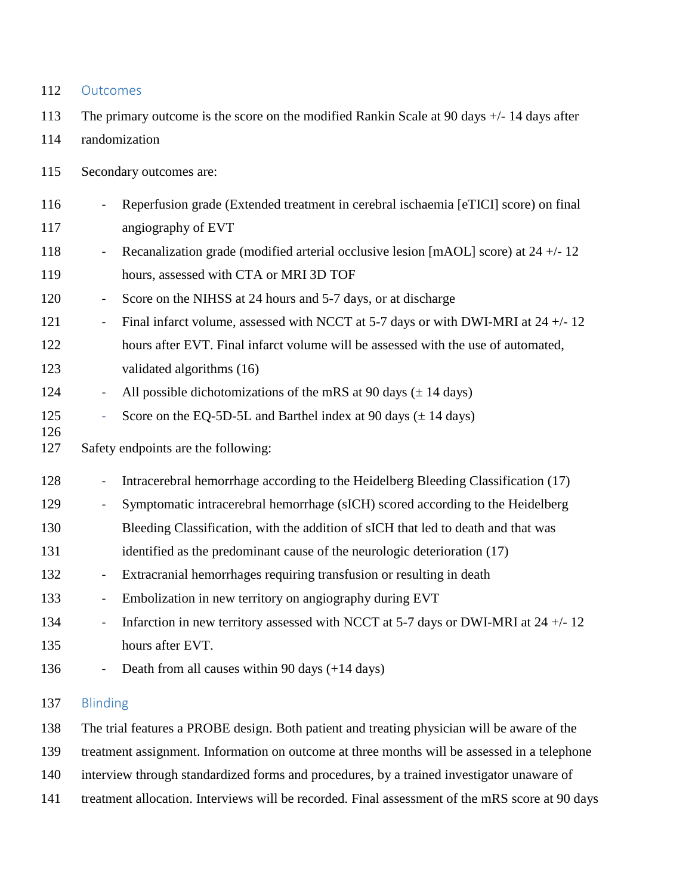| 112        | Outcomes                                                                                                                                  |  |  |  |
|------------|-------------------------------------------------------------------------------------------------------------------------------------------|--|--|--|
| 113        | The primary outcome is the score on the modified Rankin Scale at 90 days $+/-14$ days after                                               |  |  |  |
| 114        | randomization                                                                                                                             |  |  |  |
| 115        | Secondary outcomes are:                                                                                                                   |  |  |  |
| 116<br>117 | Reperfusion grade (Extended treatment in cerebral ischaemia [eTICI] score) on final<br>$\qquad \qquad \blacksquare$<br>angiography of EVT |  |  |  |
| 118        | Recanalization grade (modified arterial occlusive lesion [mAOL] score) at $24 + (-12)$<br>$\blacksquare$                                  |  |  |  |
| 119        | hours, assessed with CTA or MRI 3D TOF                                                                                                    |  |  |  |
| 120        | Score on the NIHSS at 24 hours and 5-7 days, or at discharge<br>$\blacksquare$                                                            |  |  |  |
| 121        | Final infarct volume, assessed with NCCT at 5-7 days or with DWI-MRI at $24 + -12$<br>$\qquad \qquad \blacksquare$                        |  |  |  |
| 122        | hours after EVT. Final infarct volume will be assessed with the use of automated,                                                         |  |  |  |
| 123        | validated algorithms (16)                                                                                                                 |  |  |  |
| 124        | All possible dichotomizations of the mRS at 90 days $(\pm 14 \text{ days})$<br>$\blacksquare$                                             |  |  |  |
| 125        | Score on the EQ-5D-5L and Barthel index at 90 days $(\pm 14 \text{ days})$<br>$\Box$                                                      |  |  |  |
| 126<br>127 | Safety endpoints are the following:                                                                                                       |  |  |  |
| 128        | Intracerebral hemorrhage according to the Heidelberg Bleeding Classification (17)<br>$\blacksquare$                                       |  |  |  |
| 129        | Symptomatic intracerebral hemorrhage (sICH) scored according to the Heidelberg<br>$\blacksquare$                                          |  |  |  |
| 130        | Bleeding Classification, with the addition of sICH that led to death and that was                                                         |  |  |  |
| 131        | identified as the predominant cause of the neurologic deterioration (17)                                                                  |  |  |  |
| 132        | Extracranial hemorrhages requiring transfusion or resulting in death<br>$\blacksquare$                                                    |  |  |  |
| 133        | Embolization in new territory on angiography during EVT<br>$\overline{\phantom{0}}$                                                       |  |  |  |
| 134        | Infarction in new territory assessed with NCCT at 5-7 days or DWI-MRI at $24 + - 12$<br>$\blacksquare$                                    |  |  |  |
| 135        | hours after EVT.                                                                                                                          |  |  |  |
| 136        | Death from all causes within 90 days (+14 days)                                                                                           |  |  |  |
| 137        | <b>Blinding</b>                                                                                                                           |  |  |  |
| 138        | The trial features a PROBE design. Both patient and treating physician will be aware of the                                               |  |  |  |
| 139        | treatment assignment. Information on outcome at three months will be assessed in a telephone                                              |  |  |  |
| 140        | interview through standardized forms and procedures, by a trained investigator unaware of                                                 |  |  |  |
| 141        | treatment allocation. Interviews will be recorded. Final assessment of the mRS score at 90 days                                           |  |  |  |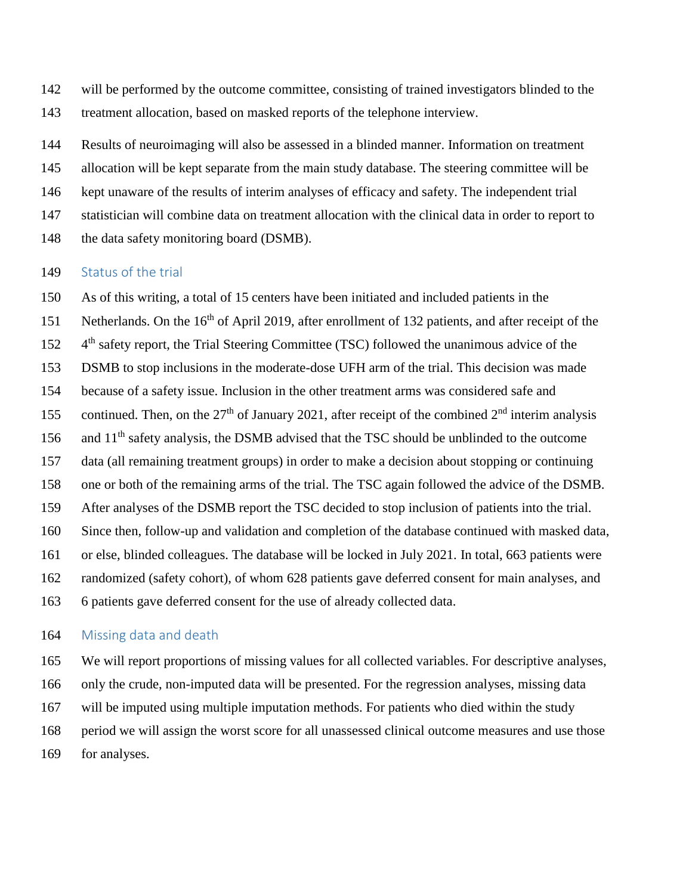will be performed by the outcome committee, consisting of trained investigators blinded to the treatment allocation, based on masked reports of the telephone interview.

Results of neuroimaging will also be assessed in a blinded manner. Information on treatment

allocation will be kept separate from the main study database. The steering committee will be

kept unaware of the results of interim analyses of efficacy and safety. The independent trial

statistician will combine data on treatment allocation with the clinical data in order to report to

148 the data safety monitoring board (DSMB).

#### 149 Status of the trial

 As of this writing, a total of 15 centers have been initiated and included patients in the 151 Netherlands. On the 16<sup>th</sup> of April 2019, after enrollment of 132 patients, and after receipt of the 152 4<sup>th</sup> safety report, the Trial Steering Committee (TSC) followed the unanimous advice of the DSMB to stop inclusions in the moderate-dose UFH arm of the trial. This decision was made because of a safety issue. Inclusion in the other treatment arms was considered safe and 155 continued. Then, on the 27<sup>th</sup> of January 2021, after receipt of the combined  $2<sup>nd</sup>$  interim analysis and  $11<sup>th</sup>$  safety analysis, the DSMB advised that the TSC should be unblinded to the outcome data (all remaining treatment groups) in order to make a decision about stopping or continuing one or both of the remaining arms of the trial. The TSC again followed the advice of the DSMB. After analyses of the DSMB report the TSC decided to stop inclusion of patients into the trial. Since then, follow-up and validation and completion of the database continued with masked data, or else, blinded colleagues. The database will be locked in July 2021. In total, 663 patients were randomized (safety cohort), of whom 628 patients gave deferred consent for main analyses, and 6 patients gave deferred consent for the use of already collected data.

### 164 Missing data and death

 We will report proportions of missing values for all collected variables. For descriptive analyses, only the crude, non-imputed data will be presented. For the regression analyses, missing data will be imputed using multiple imputation methods. For patients who died within the study period we will assign the worst score for all unassessed clinical outcome measures and use those for analyses.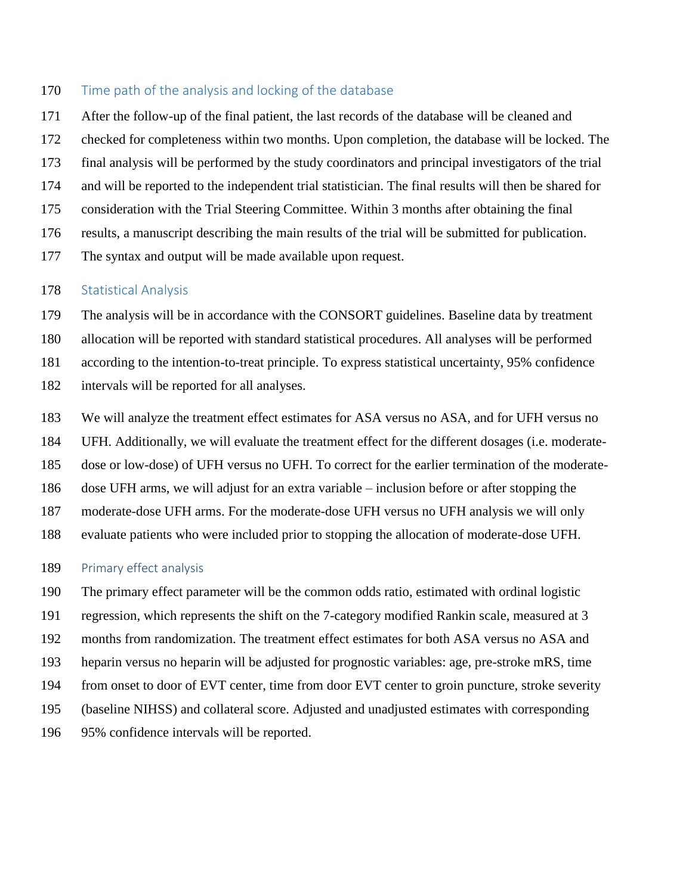### 170 Time path of the analysis and locking of the database

 After the follow-up of the final patient, the last records of the database will be cleaned and checked for completeness within two months. Upon completion, the database will be locked. The final analysis will be performed by the study coordinators and principal investigators of the trial and will be reported to the independent trial statistician. The final results will then be shared for consideration with the Trial Steering Committee. Within 3 months after obtaining the final results, a manuscript describing the main results of the trial will be submitted for publication. The syntax and output will be made available upon request.

#### 178 Statistical Analysis

 The analysis will be in accordance with the CONSORT guidelines. Baseline data by treatment allocation will be reported with standard statistical procedures. All analyses will be performed according to the intention-to-treat principle. To express statistical uncertainty, 95% confidence intervals will be reported for all analyses.

 We will analyze the treatment effect estimates for ASA versus no ASA, and for UFH versus no UFH. Additionally, we will evaluate the treatment effect for the different dosages (i.e. moderate- dose or low-dose) of UFH versus no UFH. To correct for the earlier termination of the moderate- dose UFH arms, we will adjust for an extra variable – inclusion before or after stopping the moderate-dose UFH arms. For the moderate-dose UFH versus no UFH analysis we will only evaluate patients who were included prior to stopping the allocation of moderate-dose UFH.

### 189 Primary effect analysis

The primary effect parameter will be the common odds ratio, estimated with ordinal logistic

regression, which represents the shift on the 7-category modified Rankin scale, measured at 3

- months from randomization. The treatment effect estimates for both ASA versus no ASA and
- heparin versus no heparin will be adjusted for prognostic variables: age, pre-stroke mRS, time
- from onset to door of EVT center, time from door EVT center to groin puncture, stroke severity
- (baseline NIHSS) and collateral score. Adjusted and unadjusted estimates with corresponding
- 95% confidence intervals will be reported.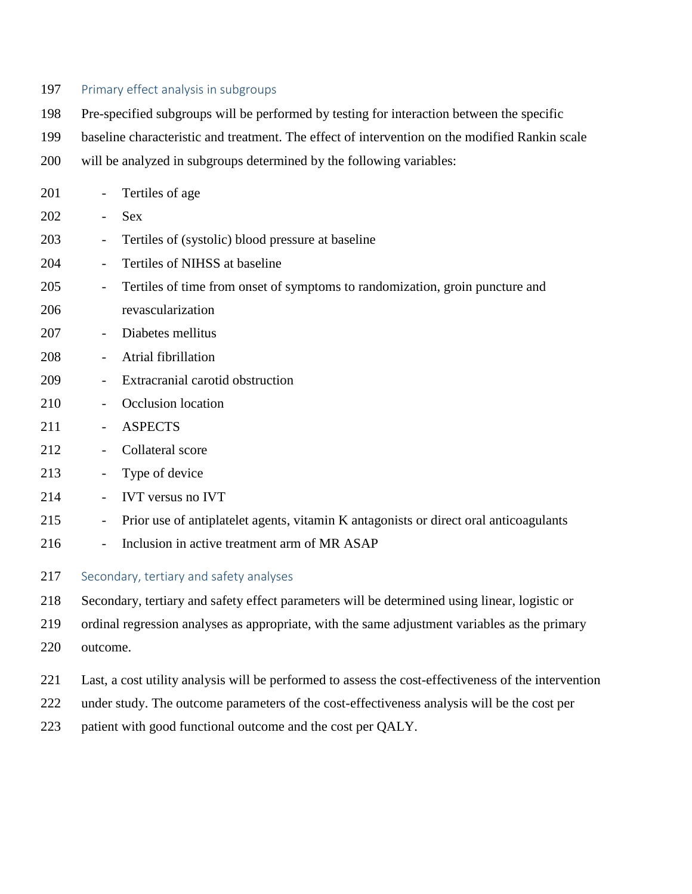## 197 Primary effect analysis in subgroups

Pre-specified subgroups will be performed by testing for interaction between the specific

- baseline characteristic and treatment. The effect of intervention on the modified Rankin scale
- will be analyzed in subgroups determined by the following variables:

| 201 | $\overline{\phantom{a}}$                | Tertiles of age                                                                       |
|-----|-----------------------------------------|---------------------------------------------------------------------------------------|
| 202 | $\overline{\phantom{a}}$                | <b>Sex</b>                                                                            |
| 203 | $\overline{\phantom{a}}$                | Tertiles of (systolic) blood pressure at baseline                                     |
| 204 | $\overline{\phantom{a}}$                | Tertiles of NIHSS at baseline                                                         |
| 205 | $\overline{\phantom{a}}$                | Tertiles of time from onset of symptoms to randomization, groin puncture and          |
| 206 |                                         | revascularization                                                                     |
| 207 | $\overline{\phantom{a}}$                | Diabetes mellitus                                                                     |
| 208 |                                         | Atrial fibrillation                                                                   |
| 209 | $\overline{\phantom{a}}$                | Extracranial carotid obstruction                                                      |
| 210 | $\overline{\phantom{a}}$                | Occlusion location                                                                    |
| 211 | $\overline{\phantom{a}}$                | <b>ASPECTS</b>                                                                        |
| 212 | $\overline{\phantom{a}}$                | Collateral score                                                                      |
| 213 | $\overline{\phantom{a}}$                | Type of device                                                                        |
| 214 |                                         | <b>IVT</b> versus no <b>IVT</b>                                                       |
| 215 | $\overline{\phantom{a}}$                | Prior use of antiplatelet agents, vitamin K antagonists or direct oral anticoagulants |
| 216 |                                         | Inclusion in active treatment arm of MR ASAP                                          |
| 217 | Secondary, tertiary and safety analyses |                                                                                       |

Secondary, tertiary and safety effect parameters will be determined using linear, logistic or

ordinal regression analyses as appropriate, with the same adjustment variables as the primary

- outcome.
- Last, a cost utility analysis will be performed to assess the cost-effectiveness of the intervention
- under study. The outcome parameters of the cost-effectiveness analysis will be the cost per
- patient with good functional outcome and the cost per QALY.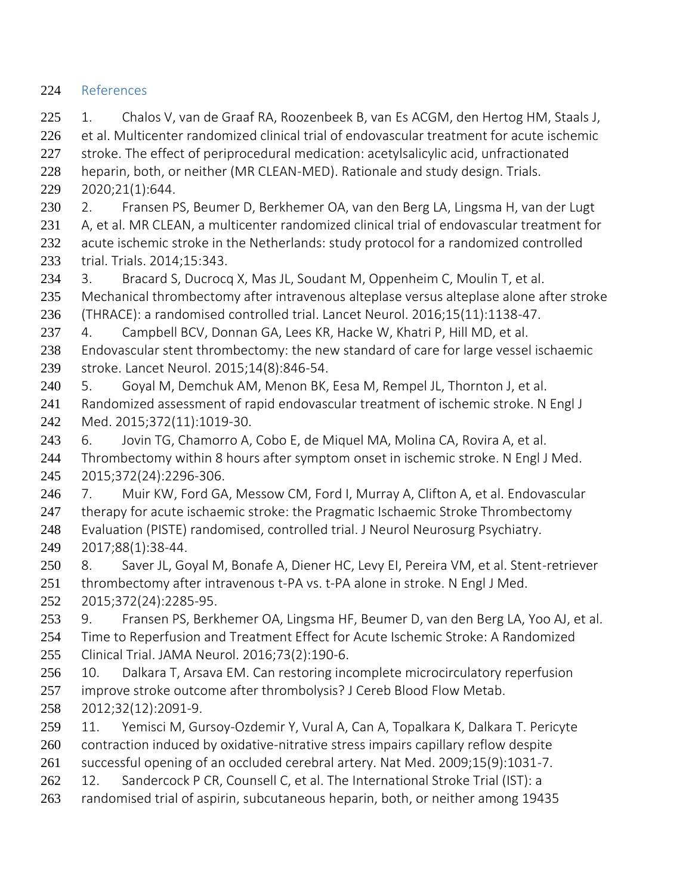# References

 1. Chalos V, van de Graaf RA, Roozenbeek B, van Es ACGM, den Hertog HM, Staals J, 226 et al. Multicenter randomized clinical trial of endovascular treatment for acute ischemic stroke. The effect of periprocedural medication: acetylsalicylic acid, unfractionated heparin, both, or neither (MR CLEAN-MED). Rationale and study design. Trials. 2020;21(1):644. 2. Fransen PS, Beumer D, Berkhemer OA, van den Berg LA, Lingsma H, van der Lugt 231 A, et al. MR CLEAN, a multicenter randomized clinical trial of endovascular treatment for 232 acute ischemic stroke in the Netherlands: study protocol for a randomized controlled trial. Trials. 2014;15:343. 3. Bracard S, Ducrocq X, Mas JL, Soudant M, Oppenheim C, Moulin T, et al. Mechanical thrombectomy after intravenous alteplase versus alteplase alone after stroke (THRACE): a randomised controlled trial. Lancet Neurol. 2016;15(11):1138-47. 4. Campbell BCV, Donnan GA, Lees KR, Hacke W, Khatri P, Hill MD, et al. Endovascular stent thrombectomy: the new standard of care for large vessel ischaemic stroke. Lancet Neurol. 2015;14(8):846-54. 5. Goyal M, Demchuk AM, Menon BK, Eesa M, Rempel JL, Thornton J, et al. Randomized assessment of rapid endovascular treatment of ischemic stroke. N Engl J Med. 2015;372(11):1019-30. 6. Jovin TG, Chamorro A, Cobo E, de Miquel MA, Molina CA, Rovira A, et al. Thrombectomy within 8 hours after symptom onset in ischemic stroke. N Engl J Med. 2015;372(24):2296-306. 7. Muir KW, Ford GA, Messow CM, Ford I, Murray A, Clifton A, et al. Endovascular 247 therapy for acute ischaemic stroke: the Pragmatic Ischaemic Stroke Thrombectomy Evaluation (PISTE) randomised, controlled trial. J Neurol Neurosurg Psychiatry. 2017;88(1):38-44. 8. Saver JL, Goyal M, Bonafe A, Diener HC, Levy EI, Pereira VM, et al. Stent-retriever 251 thrombectomy after intravenous t-PA vs. t-PA alone in stroke. N Engl J Med. 2015;372(24):2285-95. 9. Fransen PS, Berkhemer OA, Lingsma HF, Beumer D, van den Berg LA, Yoo AJ, et al. Time to Reperfusion and Treatment Effect for Acute Ischemic Stroke: A Randomized Clinical Trial. JAMA Neurol. 2016;73(2):190-6.

- 10. Dalkara T, Arsava EM. Can restoring incomplete microcirculatory reperfusion 257 improve stroke outcome after thrombolysis? J Cereb Blood Flow Metab. 2012;32(12):2091-9.
- 11. Yemisci M, Gursoy-Ozdemir Y, Vural A, Can A, Topalkara K, Dalkara T. Pericyte contraction induced by oxidative-nitrative stress impairs capillary reflow despite
- 
- successful opening of an occluded cerebral artery. Nat Med. 2009;15(9):1031-7. 262 12. Sandercock P CR, Counsell C, et al. The International Stroke Trial (IST): a
- randomised trial of aspirin, subcutaneous heparin, both, or neither among 19435